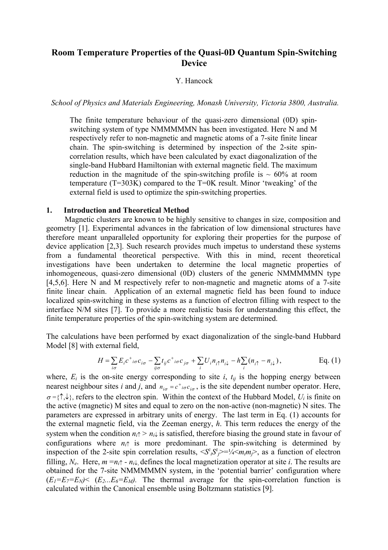# **Room Temperature Properties of the Quasi-0D Quantum Spin-Switching Device**

### Y. Hancock

*School of Physics and Materials Engineering, Monash University, Victoria 3800, Australia.* 

The finite temperature behaviour of the quasi-zero dimensional (0D) spinswitching system of type NMMMMMN has been investigated. Here N and M respectively refer to non-magnetic and magnetic atoms of a 7-site finite linear chain. The spin-switching is determined by inspection of the 2-site spincorrelation results, which have been calculated by exact diagonalization of the single-band Hubbard Hamiltonian with external magnetic field. The maximum reduction in the magnitude of the spin-switching profile is  $\sim 60\%$  at room temperature (T=303K) compared to the T=0K result. Minor 'tweaking' of the external field is used to optimize the spin-switching properties.

### **1. Introduction and Theoretical Method**

Magnetic clusters are known to be highly sensitive to changes in size, composition and geometry [1]. Experimental advances in the fabrication of low dimensional structures have therefore meant unparalleled opportunity for exploring their properties for the purpose of device application [2,3]. Such research provides much impetus to understand these systems from a fundamental theoretical perspective. With this in mind, recent theoretical investigations have been undertaken to determine the local magnetic properties of inhomogeneous, quasi-zero dimensional (0D) clusters of the generic NMMMMMN type [4,5,6]. Here N and M respectively refer to non-magnetic and magnetic atoms of a 7-site finite linear chain. Application of an external magnetic field has been found to induce localized spin-switching in these systems as a function of electron filling with respect to the interface N/M sites [7]. To provide a more realistic basis for understanding this effect, the finite temperature properties of the spin-switching system are determined.

The calculations have been performed by exact diagonalization of the single-band Hubbard Model [8] with external field,

$$
H = \sum_{i\sigma} E_i c^+_{i\sigma} c_{i\sigma} - \sum_{i\sigma} t_{ij} c^+_{i\sigma} c_{j\sigma} + \sum_i U_i n_{i\uparrow} n_{i\downarrow} - h \sum_i (n_{i\uparrow} - n_{i\downarrow}), \qquad \text{Eq. (1)}
$$

where,  $E_i$  is the on-site energy corresponding to site  $i$ ,  $t_{ij}$  is the hopping energy between nearest neighbour sites *i* and *j*, and  $n_{i\sigma} = c^+_{i\sigma} c_{i\sigma}$ , is the site dependent number operator. Here,  $\sigma = \{\uparrow, \downarrow\}$ , refers to the electron spin. Within the context of the Hubbard Model, *U<sub>i</sub>* is finite on the active (magnetic) M sites and equal to zero on the non-active (non-magnetic) N sites. The parameters are expressed in arbitrary units of energy. The last term in Eq. (1) accounts for the external magnetic field, via the Zeeman energy, *h*. This term reduces the energy of the system when the condition  $n_i \geq n_i \downarrow$  is satisfied, therefore biasing the ground state in favour of configurations where  $n_i \uparrow$  is more predominant. The spin-switching is determined by inspection of the 2-site spin correlation results,  $\langle S^z_i S^z_j \rangle = \frac{1}{4} \langle m_i m_j \rangle$ , as a function of electron filling, *N<sub>e</sub>*. Here,  $m = n_i \uparrow - n_i \downarrow$  defines the local magnetization operator at site *i*. The results are obtained for the 7-site NMMMMMN system, in the 'potential barrier' configuration where  $(E_1=E_7=E_N)<$   $(E_2...E_6=E_M)$ . The thermal average for the spin-correlation function is calculated within the Canonical ensemble using Boltzmann statistics [9].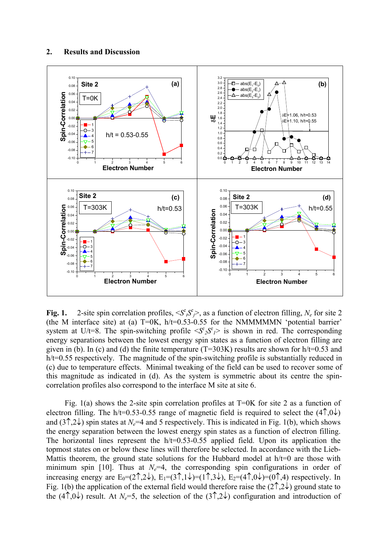

**Fig. 1.** 2-site spin correlation profiles,  $\langle S_i^z \rangle \langle S_j^z \rangle$ , as a function of electron filling,  $N_e$  for site 2 (the M interface site) at (a)  $T=0K$ ,  $h/t=0.53-0.55$  for the NMMMMMN 'potential barrier' system at U/t=8. The spin-switching profile  $\langle S^z_2 S^z \rangle$  is shown in red. The corresponding energy separations between the lowest energy spin states as a function of electron filling are given in (b). In (c) and (d) the finite temperature ( $T=303K$ ) results are shown for h/t=0.53 and h/t=0.55 respectively. The magnitude of the spin-switching profile is substantially reduced in (c) due to temperature effects. Minimal tweaking of the field can be used to recover some of this magnitude as indicated in (d). As the system is symmetric about its centre the spincorrelation profiles also correspond to the interface M site at site 6.

Fig. 1(a) shows the 2-site spin correlation profiles at  $T=0K$  for site 2 as a function of electron filling. The h/t=0.53-0.55 range of magnetic field is required to select the  $(4\uparrow 0\downarrow)$ and  $(3\hat{)}$ , $2\hat{)}$  spin states at *N<sub>e</sub>*=4 and 5 respectively. This is indicated in Fig. 1(b), which shows the energy separation between the lowest energy spin states as a function of electron filling. The horizontal lines represent the  $h$ /t=0.53-0.55 applied field. Upon its application the topmost states on or below these lines will therefore be selected. In accordance with the Lieb-Mattis theorem, the ground state solutions for the Hubbard model at  $h/t=0$  are those with minimum spin [10]. Thus at  $N_e=4$ , the corresponding spin configurations in order of increasing energy are  $E_0=(2\uparrow,2\downarrow), E_1=(3\uparrow,1\downarrow)=(1\uparrow,3\downarrow), E_2=(4\uparrow,0\downarrow)=(0\uparrow,4)$  respectively. In Fig. 1(b) the application of the external field would therefore raise the  $(2\hat{}\hat{z}^{\dagger})$  ground state to the (4<sup> $\uparrow$ </sup>,0<sup> $\downarrow$ </sup>) result. At *N<sub>e</sub>*=5, the selection of the (3<sup> $\uparrow$ </sup>,2<sup> $\downarrow$ </sup>) configuration and introduction of